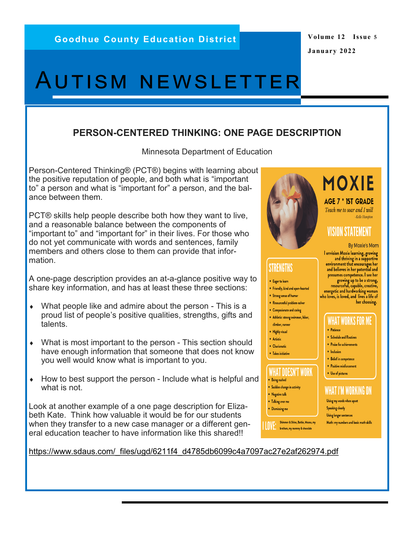#### **Volume 12 Issue 5 January 2022**

# Autism newsletter

#### **PERSON-CENTERED THINKING: ONE PAGE DESCRIPTION**

Minnesota Department of Education

Person-Centered Thinking® (PCT®) begins with learning about the positive reputation of people, and both what is "important to" a person and what is "important for" a person, and the balance between them.

PCT® skills help people describe both how they want to live, and a reasonable balance between the components of "important to" and "important for" in their lives. For those who do not yet communicate with words and sentences, family members and others close to them can provide that information.

A one-page description provides an at-a-glance positive way to share key information, and has at least these three sections:

- What people like and admire about the person This is a proud list of people's positive qualities, strengths, gifts and talents.
- What is most important to the person This section should have enough information that someone that does not know you well would know what is important to you.
- $\bullet$  How to best support the person Include what is helpful and what is not.

Look at another example of a one page description for Elizabeth Kate. Think how valuable it would be for our students when they transfer to a new case manager or a different general education teacher to have information like this shared!!



# **STRENGTHS**

- Eager to learn
- Friendly, kind and open-hearted
- Strong sense of humor
- Resourcesful problem-solver
- Compasionate and caring
- Athletic: strong swimmer, hiker, climber, runner
- Highly visual
- · Artistic
- Charismatic
- Takes initiative

## **WHAT DOESN'T WORK**

- Being rushed • Sudden change in activity
- Negative talk
- Talking over me  $\bullet$  Dismissing me

**LOVE:** Shimmer & Shine, Barbie, Moana, my

### **MOXIE AGE 7 \* IST GRADE** Teach me to soar and I will

-Kelle Hampton

## **VISION STATEMENT**

**By Moxie's Mom** 

I envision Moxie learning, growing and thriving in a supportive environment that encourages her and believes in her potential and presumes competence. I see her growing up to be a strong,<br>resourceful, capable, creative,<br>energetic and hardworking woman who loves, is loved, and lives a life of her choosing.

#### WHAT WORKS FOR ME

- · Patience
- Schedule and Routines • Praise for achievements
- Inclusion
- Belief in competence
- Positive reinforcement
- Use of pictures

#### WHAT I'M WORKING ON

Using my words when upset **Speaking clearly** Using longer sentences Math: my numbers and basic math skills

[https://www.sdaus.com/\\_files/ugd/6211f4\\_d4785db6099c4a7097ac27e2af262974.pdf](https://www.sdaus.com/_files/ugd/6211f4_d4785db6099c4a7097ac27e2af262974.pdf)